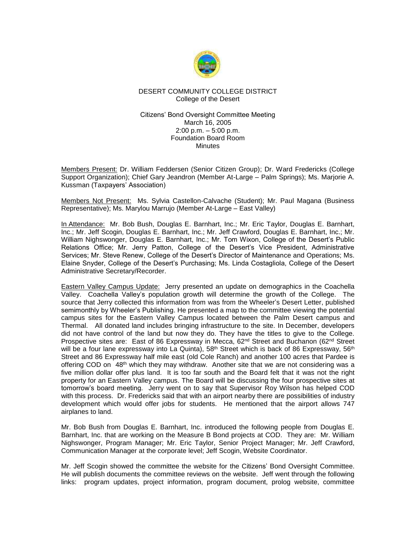

# DESERT COMMUNITY COLLEGE DISTRICT College of the Desert

### Citizens' Bond Oversight Committee Meeting March 16, 2005 2:00 p.m. – 5:00 p.m. Foundation Board Room **Minutes**

Members Present: Dr. William Feddersen (Senior Citizen Group); Dr. Ward Fredericks (College Support Organization); Chief Gary Jeandron (Member At-Large – Palm Springs); Ms. Marjorie A. Kussman (Taxpayers' Association)

Members Not Present: Ms. Sylvia Castellon-Calvache (Student); Mr. Paul Magana (Business Representative); Ms. Marylou Marrujo (Member At-Large – East Valley)

In Attendance: Mr. Bob Bush, Douglas E. Barnhart, Inc.; Mr. Eric Taylor, Douglas E. Barnhart, Inc.; Mr. Jeff Scogin, Douglas E. Barnhart, Inc.; Mr. Jeff Crawford, Douglas E. Barnhart, Inc.; Mr. William Nighswonger, Douglas E. Barnhart, Inc.; Mr. Tom Wixon, College of the Desert's Public Relations Office; Mr. Jerry Patton, College of the Desert's Vice President, Administrative Services; Mr. Steve Renew, College of the Desert's Director of Maintenance and Operations; Ms. Elaine Snyder, College of the Desert's Purchasing; Ms. Linda Costagliola, College of the Desert Administrative Secretary/Recorder.

Eastern Valley Campus Update: Jerry presented an update on demographics in the Coachella Valley. Coachella Valley's population growth will determine the growth of the College. The source that Jerry collected this information from was from the Wheeler's Desert Letter, published semimonthly by Wheeler's Publishing. He presented a map to the committee viewing the potential campus sites for the Eastern Valley Campus located between the Palm Desert campus and Thermal. All donated land includes bringing infrastructure to the site. In December, developers did not have control of the land but now they do. They have the titles to give to the College. Prospective sites are: East of 86 Expressway in Mecca, 62<sup>nd</sup> Street and Buchanon (62<sup>nd</sup> Street will be a four lane expressway into La Quinta),  $58<sup>th</sup>$  Street which is back of 86 Expressway,  $56<sup>th</sup>$ Street and 86 Expressway half mile east (old Cole Ranch) and another 100 acres that Pardee is offering COD on 48<sup>th</sup> which they may withdraw. Another site that we are not considering was a five million dollar offer plus land. It is too far south and the Board felt that it was not the right property for an Eastern Valley campus. The Board will be discussing the four prospective sites at tomorrow's board meeting. Jerry went on to say that Supervisor Roy Wilson has helped COD with this process. Dr. Fredericks said that with an airport nearby there are possibilities of industry development which would offer jobs for students. He mentioned that the airport allows 747 airplanes to land.

Mr. Bob Bush from Douglas E. Barnhart, Inc. introduced the following people from Douglas E. Barnhart, Inc. that are working on the Measure B Bond projects at COD. They are: Mr. William Nighswonger, Program Manager; Mr. Eric Taylor, Senior Project Manager; Mr. Jeff Crawford, Communication Manager at the corporate level; Jeff Scogin, Website Coordinator.

Mr. Jeff Scogin showed the committee the website for the Citizens' Bond Oversight Committee. He will publish documents the committee reviews on the website. Jeff went through the following links: program updates, project information, program document, prolog website, committee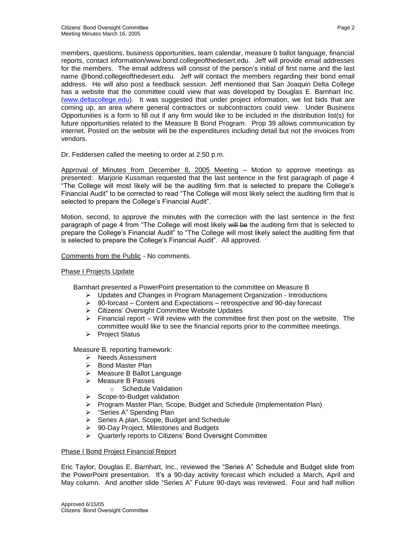members, questions, business opportunities, team calendar, measure b ballot language, financial reports, contact information/www.bond.collegeofthedesert.edu. Jeff will provide email addresses for the members. The email address will consist of the person's initial of first name and the last name @bond.collegeofthedesert.edu. Jeff will contact the members regarding their bond email address. He will also post a feedback session. Jeff mentioned that San Joaquin Delta College has a website that the committee could view that was developed by Douglas E. Barnhart Inc. [\(www.deltacollege.edu\)](http://www.deltacollege.edu/). It was suggested that under project information, we list bids that are coming up, an area where general contractors or subcontractors could view. Under Business Opportunities is a form to fill out if any firm would like to be included in the distribution list(s) for future opportunities related to the Measure B Bond Program. Prop 39 allows communication by internet. Posted on the website will be the expenditures including detail but not the invoices from vendors.

Dr. Feddersen called the meeting to order at 2:50 p.m.

Approval of Minutes from December 8, 2005 Meeting – Motion to approve meetings as presented: Marjorie Kussman requested that the last sentence in the first paragraph of page 4 "The College will most likely will be the auditing firm that is selected to prepare the College's Financial Audit" to be corrected to read "The College will most likely select the auditing firm that is selected to prepare the College's Financial Audit".

Motion, second, to approve the minutes with the correction with the last sentence in the first paragraph of page 4 from "The College will most likely will be the auditing firm that is selected to prepare the College's Financial Audit" to "The College will most likely select the auditing firm that is selected to prepare the College's Financial Audit". All approved.

## Comments from the Public - No comments.

### Phase I Projects Update

Barnhart presented a PowerPoint presentation to the committee on Measure B

- ➢ Updates and Changes in Program Management Organization Introductions
- ➢ 90-forcast Content and Expectations retrospective and 90-day forecast
- ➢ Citizens' Oversight Committee Website Updates
- $\triangleright$  Financial report Will review with the committee first then post on the website. The committee would like to see the financial reports prior to the committee meetings.
- ➢ Project Status

Measure B, reporting framework:

- ➢ Needs Assessment
- ➢ Bond Master Plan
- ➢ Measure B Ballot Language
- ➢ Measure B Passes
	- o Schedule Validation
- ➢ Scope-to-Budget validation
- ➢ Program Master Plan, Scope, Budget and Schedule (Implementation Plan)
- ➢ "Series A" Spending Plan
- ➢ Series A plan, Scope, Budget and Schedule
- ➢ 90-Day Project, Milestones and Budgets
- ➢ Quarterly reports to Citizens' Bond Oversight Committee

## Phase I Bond Project Financial Report

Eric Taylor, Douglas E. Barnhart, Inc., reviewed the "Series A" Schedule and Budget slide from the PowerPoint presentation. It's a 90-day activity forecast which included a March, April and May column. And another slide "Series A" Future 90-days was reviewed. Four and half million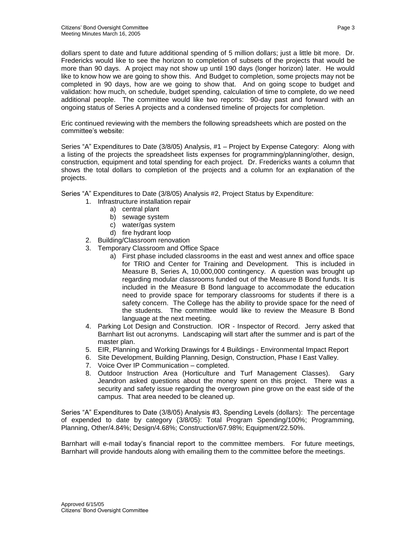dollars spent to date and future additional spending of 5 million dollars; just a little bit more. Dr. Fredericks would like to see the horizon to completion of subsets of the projects that would be more than 90 days. A project may not show up until 190 days (longer horizon) later. He would like to know how we are going to show this. And Budget to completion, some projects may not be completed in 90 days, how are we going to show that. And on going scope to budget and validation: how much, on schedule, budget spending, calculation of time to complete, do we need additional people. The committee would like two reports: 90-day past and forward with an ongoing status of Series A projects and a condensed timeline of projects for completion.

Eric continued reviewing with the members the following spreadsheets which are posted on the committee's website:

Series "A" Expenditures to Date (3/8/05) Analysis, #1 – Project by Expense Category: Along with a listing of the projects the spreadsheet lists expenses for programming/planning/other, design, construction, equipment and total spending for each project. Dr. Fredericks wants a column that shows the total dollars to completion of the projects and a column for an explanation of the projects.

- Series "A" Expenditures to Date (3/8/05) Analysis #2, Project Status by Expenditure:
	- 1. Infrastructure installation repair
		- a) central plant
			- b) sewage system
			- c) water/gas system
			- d) fire hydrant loop
	- 2. Building/Classroom renovation
	- 3. Temporary Classroom and Office Space
		- a) First phase included classrooms in the east and west annex and office space for TRIO and Center for Training and Development. This is included in Measure B, Series A, 10,000,000 contingency. A question was brought up regarding modular classrooms funded out of the Measure B Bond funds. It is included in the Measure B Bond language to accommodate the education need to provide space for temporary classrooms for students if there is a safety concern. The College has the ability to provide space for the need of the students. The committee would like to review the Measure B Bond language at the next meeting.
	- 4. Parking Lot Design and Construction. IOR Inspector of Record. Jerry asked that Barnhart list out acronyms. Landscaping will start after the summer and is part of the master plan.
	- 5. EIR, Planning and Working Drawings for 4 Buildings Environmental Impact Report
	- 6. Site Development, Building Planning, Design, Construction, Phase I East Valley.
	- 7. Voice Over IP Communication completed.
	- 8. Outdoor Instruction Area (Horticulture and Turf Management Classes). Gary Jeandron asked questions about the money spent on this project. There was a security and safety issue regarding the overgrown pine grove on the east side of the campus. That area needed to be cleaned up.

Series "A" Expenditures to Date (3/8/05) Analysis #3, Spending Levels (dollars): The percentage of expended to date by category (3/8/05): Total Program Spending/100%; Programming, Planning, Other/4.84%; Design/4.68%; Construction/67.98%; Equipment/22.50%.

Barnhart will e-mail today's financial report to the committee members. For future meetings, Barnhart will provide handouts along with emailing them to the committee before the meetings.